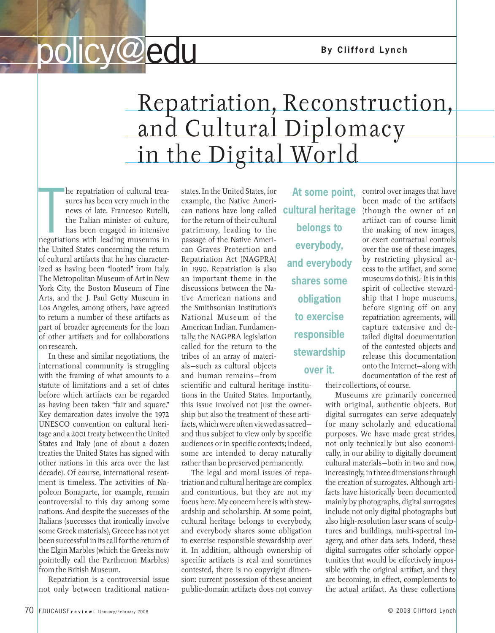## **policy@edu** By Clifford Lynch

## Repatriation, Reconstruction, and Cultural Diplomacy in the Digital World

The reparriation of cultural trea-<br>sures has been very much in the<br>news of late. Francesco Rutelli,<br>the Italian minister of culture,<br>has been engaged in intensive<br>negotiations with leading museums in he repatriation of cultural treasures has been very much in the news of late. Francesco Rutelli, the Italian minister of culture, has been engaged in intensive the United States concerning the return of cultural artifacts that he has characterized as having been "looted" from Italy. The Metropolitan Museum of Art in New York City, the Boston Museum of Fine Arts, and the J. Paul Getty Museum in Los Angeles, among others, have agreed to return a number of these artifacts as part of broader agreements for the loan of other artifacts and for collaborations on research.

In these and similar negotiations, the international community is struggling with the framing of what amounts to a statute of limitations and a set of dates before which artifacts can be regarded as having been taken "fair and square." Key demarcation dates involve the 1972 UNESCO convention on cultural heritage and a 2001 treaty between the United States and Italy (one of about a dozen treaties the United States has signed with other nations in this area over the last decade). Of course, international resentment is timeless. The activities of Napoleon Bonaparte, for example, remain controversial to this day among some nations. And despite the successes of the Italians (successes that ironically involve some Greek materials), Greece has not yet been successful in its call for the return of the Elgin Marbles (which the Greeks now pointedly call the Parthenon Marbles) from the British Museum.

Repatriation is a controversial issue not only between traditional nationstates. In the United States, for example, the Native American nations have long called for the return of their cultural patrimony, leading to the passage of the Native American Graves Protection and Repatriation Act (NAGPRA) in 1990. Repatriation is also an important theme in the discussions between the Native American nations and the Smithsonian Institution's National Museum of the American Indian. Fundamentally, the NAGPRA legislation called for the return to the tribes of an array of materials—such as cultural objects and human remains—from

scientific and cultural heritage institutions in the United States. Importantly, this issue involved not just the ownership but also the treatment of these artifacts, which were often viewed as sacred and thus subject to view only by specific audiences or in specific contexts; indeed, some are intended to decay naturally rather than be preserved permanently.

The legal and moral issues of repatriation and cultural heritage are complex and contentious, but they are not my focus here. My concern here is with stewardship and scholarship. At some point, cultural heritage belongs to everybody, and everybody shares some obligation to exercise responsible stewardship over it. In addition, although ownership of specific artifacts is real and sometimes contested, there is no copyright dimension: current possession of these ancient public-domain artifacts does not convey

**At some point, cultural heritage belongs to everybody, and everybody shares some obligation to exercise responsible stewardship over it.**

control over images that have been made of the artifacts (though the owner of an artifact can of course limit the making of new images, or exert contractual controls over the use of these images, by restricting physical access to the artifact, and some museums do this).<sup>1</sup> It is in this spirit of collective stewardship that I hope museums, before signing off on any repatriation agreements, will capture extensive and detailed digital documentation of the contested objects and release this documentation onto the Internet—along with documentation of the rest of

their collections, of course.

Museums are primarily concerned with original, authentic objects. But digital surrogates can serve adequately for many scholarly and educational purposes. We have made great strides, not only technically but also economically, in our ability to digitally document cultural materials—both in two and now, increasingly, in three dimensions through the creation of surrogates. Although artifacts have historically been documented mainly by photographs, digital surrogates include not only digital photographs but also high-resolution laser scans of sculptures and buildings, multi-spectral imagery, and other data sets. Indeed, these digital surrogates offer scholarly opportunities that would be effectively impossible with the original artifact, and they are becoming, in effect, complements to the actual artifact. As these collections